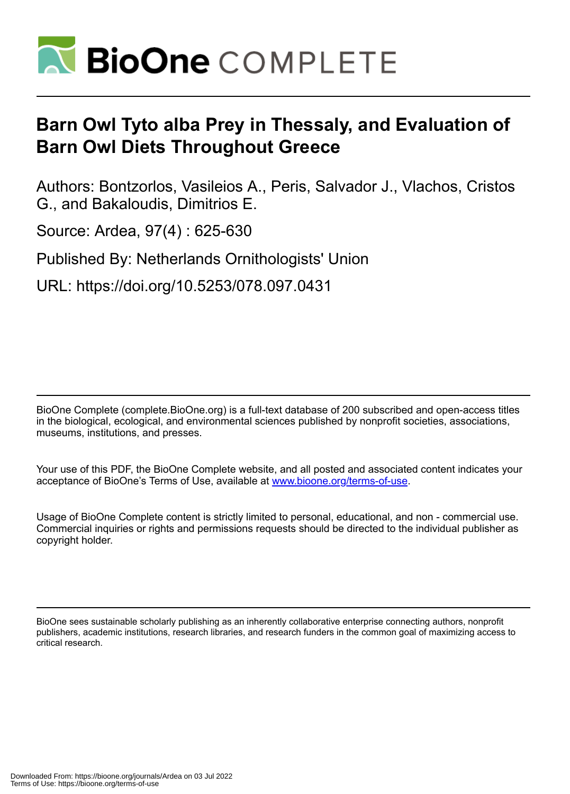

# **Barn Owl Tyto alba Prey in Thessaly, and Evaluation of Barn Owl Diets Throughout Greece**

Authors: Bontzorlos, Vasileios A., Peris, Salvador J., Vlachos, Cristos G., and Bakaloudis, Dimitrios E.

Source: Ardea, 97(4) : 625-630

Published By: Netherlands Ornithologists' Union

URL: https://doi.org/10.5253/078.097.0431

BioOne Complete (complete.BioOne.org) is a full-text database of 200 subscribed and open-access titles in the biological, ecological, and environmental sciences published by nonprofit societies, associations, museums, institutions, and presses.

Your use of this PDF, the BioOne Complete website, and all posted and associated content indicates your acceptance of BioOne's Terms of Use, available at www.bioone.org/terms-of-use.

Usage of BioOne Complete content is strictly limited to personal, educational, and non - commercial use. Commercial inquiries or rights and permissions requests should be directed to the individual publisher as copyright holder.

BioOne sees sustainable scholarly publishing as an inherently collaborative enterprise connecting authors, nonprofit publishers, academic institutions, research libraries, and research funders in the common goal of maximizing access to critical research.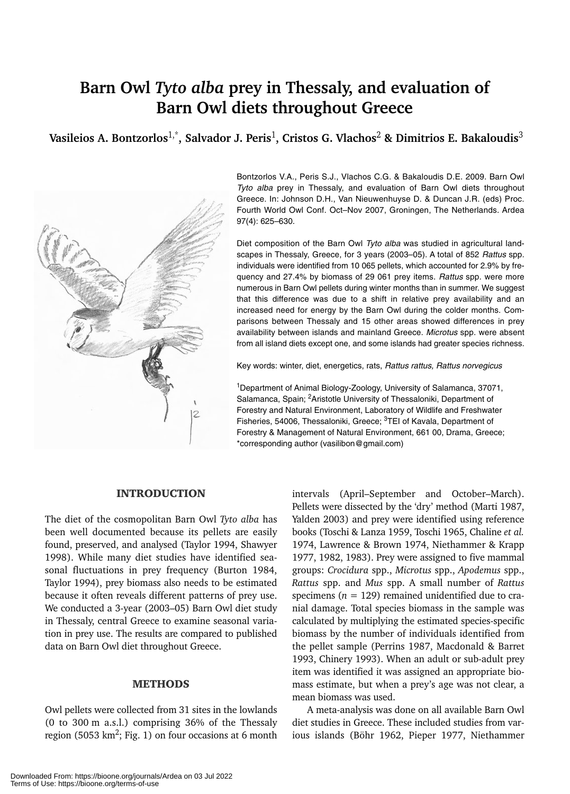# **Barn Owl** *Tyto alba* **prey in Thessaly, and evaluation of Barn Owl diets throughout Greece**

**Vasileios A. Bontzorlos**1,\***, Salvador J. Peris**1**, Cristos G. Vlachos**<sup>2</sup> **& Dimitrios E. Bakaloudis**<sup>3</sup>



Bontzorlos V.A., Peris S.J., Vlachos C.G. & Bakaloudis D.E. 2009. Barn Owl *Tyto alba* prey in Thessaly, and evaluation of Barn Owl diets throughout Greece. In: Johnson D.H., Van Nieuwenhuyse D. & Duncan J.R. (eds) Proc. Fourth World Owl Conf. Oct–Nov 2007, Groningen, The Netherlands. Ardea 97(4): 625–630.

Diet composition of the Barn Owl *Tyto alba* was studied in agricultural landscapes in Thessaly, Greece, for 3 years (2003–05). A total of 852 *Rattus* spp. individuals were identified from 10 065 pellets, which accounted for 2.9% by frequency and 27.4% by biomass of 29 061 prey items. *Rattus* spp. were more numerous in Barn Owl pellets during winter months than in summer. We suggest that this difference was due to a shift in relative prey availability and an increased need for energy by the Barn Owl during the colder months. Comparisons between Thessaly and 15 other areas showed differences in prey availability between islands and mainland Greece. *Microtus* spp. were absent from all island diets except one, and some islands had greater species richness.

Key words: winter, diet, energetics, rats, *Rattus rattus, Rattus norvegicus*

<sup>1</sup>Department of Animal Biology-Zoology, University of Salamanca, 37071, Salamanca, Spain; <sup>2</sup>Aristotle University of Thessaloniki, Department of Forestry and Natural Environment, Laboratory of Wildlife and Freshwater Fisheries, 54006, Thessaloniki, Greece; <sup>3</sup>TEI of Kavala, Department of Forestry & Management of Natural Environment, 661 00, Drama, Greece; \*corresponding author (vasilibon@gmail.com)

### INTRODUCTION

The diet of the cosmopolitan Barn Owl *Tyto alba* has been well documented because its pellets are easily found, preserved, and analysed (Taylor 1994, Shawyer 1998). While many diet studies have identified seasonal fluctuations in prey frequency (Burton 1984, Taylor 1994), prey biomass also needs to be estimated because it often reveals different patterns of prey use. We conducted a 3-year (2003–05) Barn Owl diet study in Thessaly, central Greece to examine seasonal variation in prey use. The results are compared to published data on Barn Owl diet throughout Greece.

## METHODS

Owl pellets were collected from 31 sites in the lowlands (0 to 300 m a.s.l.) comprising 36% of the Thessaly region (5053 km<sup>2</sup>; Fig. 1) on four occasions at 6 month intervals (April–September and October–March). Pellets were dissected by the 'dry' method (Marti 1987, Yalden 2003) and prey were identified using reference books (Toschi & Lanza 1959, Toschi 1965, Chaline *et al.* 1974, Lawrence & Brown 1974, Niethammer & Krapp 1977, 1982, 1983). Prey were assigned to five mammal groups: *Crocidura* spp., *Microtus* spp., *Apodemus* spp., *Rattus* spp. and *Mus* spp. A small number of *Rattus* specimens ( $n = 129$ ) remained unidentified due to cranial damage. Total species biomass in the sample was calculated by multiplying the estimated species-specific biomass by the number of individuals identified from the pellet sample (Perrins 1987, Macdonald & Barret 1993, Chinery 1993). When an adult or sub-adult prey item was identified it was assigned an appropriate biomass estimate, but when a prey's age was not clear, a mean biomass was used.

A meta-analysis was done on all available Barn Owl diet studies in Greece. These included studies from various islands (Böhr 1962, Pieper 1977, Niethammer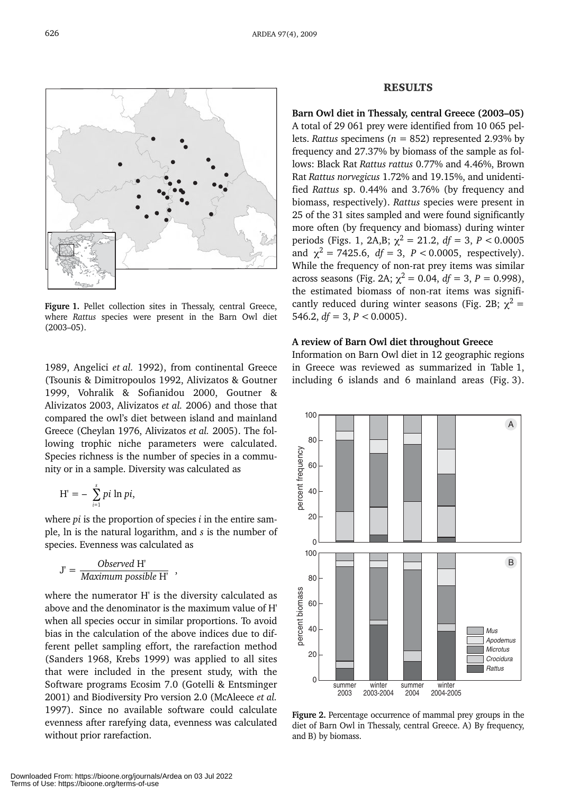

Figure 1. Pellet collection sites in Thessaly, central Greece, where *Rattus* species were present in the Barn Owl diet (2003–05).

1989, Angelici *et al.* 1992), from continental Greece (Tsounis & Dimitropoulos 1992, Alivizatos & Goutner 1999, Vohralik & Sofianidou 2000, Goutner & Alivizatos 2003, Alivizatos *et al.* 2006) and those that compared the owl's diet between island and mainland Greece (Cheylan 1976, Alivizatos *et al.* 2005). The following trophic niche parameters were calculated. Species richness is the number of species in a community or in a sample. Diversity was calculated as

$$
H'=-\sum_{i=1}^s pi\ln pi,
$$

where *pi* is the proportion of species *i* in the entire sample, ln is the natural logarithm, and *s* is the number of species. Evenness was calculated as

$$
J' = \frac{Observed H'}{Maximum possible H'},
$$

where the numerator H' is the diversity calculated as above and the denominator is the maximum value of H' when all species occur in similar proportions. To avoid bias in the calculation of the above indices due to different pellet sampling effort, the rarefaction method (Sanders 1968, Krebs 1999) was applied to all sites that were included in the present study, with the Software programs Ecosim 7.0 (Gotelli & Entsminger 2001) and Biodiversity Pro version 2.0 (McAleece *et al.* 1997). Since no available software could calculate evenness after rarefying data, evenness was calculated without prior rarefaction.

#### RESULTS

**Barn Owl diet in Thessaly, central Greece (2003–05)** A total of 29 061 prey were identified from 10 065 pellets. *Rattus* specimens (*n* = 852) represented 2.93% by frequency and 27.37% by biomass of the sample as follows: Black Rat *Rattus rattus* 0.77% and 4.46%, Brown Rat *Rattus norvegicus* 1.72% and 19.15%, and unidentified *Rattus* sp. 0.44% and 3.76% (by frequency and biomass, respectively). *Rattus* species were present in 25 of the 31 sites sampled and were found significantly more often (by frequency and biomass) during winter periods (Figs. 1, 2A,B;  $\chi^2 = 21.2$ ,  $df = 3$ ,  $P < 0.0005$ and  $\chi^2$  = 7425.6, *df* = 3, *P* < 0.0005, respectively). While the frequency of non-rat prey items was similar across seasons (Fig. 2A;  $\chi^2 = 0.04$ ,  $df = 3$ ,  $P = 0.998$ ), the estimated biomass of non-rat items was significantly reduced during winter seasons (Fig. 2B;  $\chi^2$  = 546.2,  $df = 3$ ,  $P < 0.0005$ ).

#### **A review of Barn Owl diet throughout Greece**

Information on Barn Owl diet in 12 geographic regions in Greece was reviewed as summarized in Table 1, including 6 islands and 6 mainland areas (Fig. 3).



**Figure 2.** Percentage occurrence of mammal prey groups in the diet of Barn Owl in Thessaly, central Greece. A) By frequency, and B) by biomass.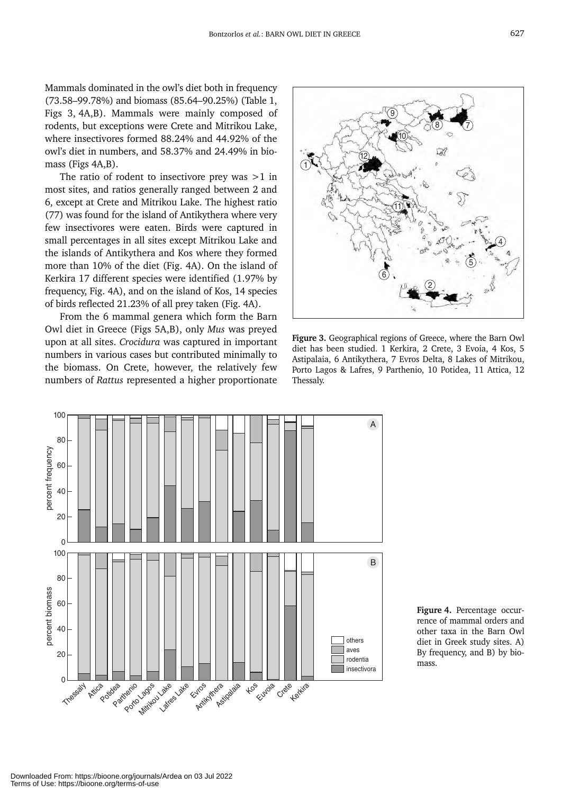Mammals dominated in the owl's diet both in frequency (73.58–99.78%) and biomass (85.64–90.25%) (Table 1, Figs 3, 4A,B). Mammals were mainly composed of rodents, but exceptions were Crete and Mitrikou Lake, where insectivores formed 88.24% and 44.92% of the owl's diet in numbers, and 58.37% and 24.49% in biomass (Figs 4A,B).

The ratio of rodent to insectivore prey was  $>1$  in most sites, and ratios generally ranged between 2 and 6, except at Crete and Mitrikou Lake. The highest ratio (77) was found for the island of Antikythera where very few insectivores were eaten. Birds were captured in small percentages in all sites except Mitrikou Lake and the islands of Antikythera and Kos where they formed more than 10% of the diet (Fig. 4A). On the island of Kerkira 17 different species were identified (1.97% by frequency, Fig. 4A), and on the island of Kos, 14 species of birds reflected 21.23% of all prey taken (Fig. 4A).

From the 6 mammal genera which form the Barn Owl diet in Greece (Figs 5A,B), only *Mus* was preyed upon at all sites. *Crocidura* was captured in important numbers in various cases but contributed minimally to the biomass. On Crete, however, the relatively few numbers of *Rattus* represented a higher proportionate



**Figure 3.** Geographical regions of Greece, where the Barn Owl diet has been studied. 1 Kerkira, 2 Crete, 3 Evoia, 4 Kos, 5 Astipalaia, 6 Antikythera, 7 Evros Delta, 8 Lakes of Mitrikou, Porto Lagos & Lafres, 9 Parthenio, 10 Potidea, 11 Attica, 12 Thessaly.



**Figure 4.** Percentage occurrence of mammal orders and other taxa in the Barn Owl diet in Greek study sites. A) By frequency, and B) by biomass.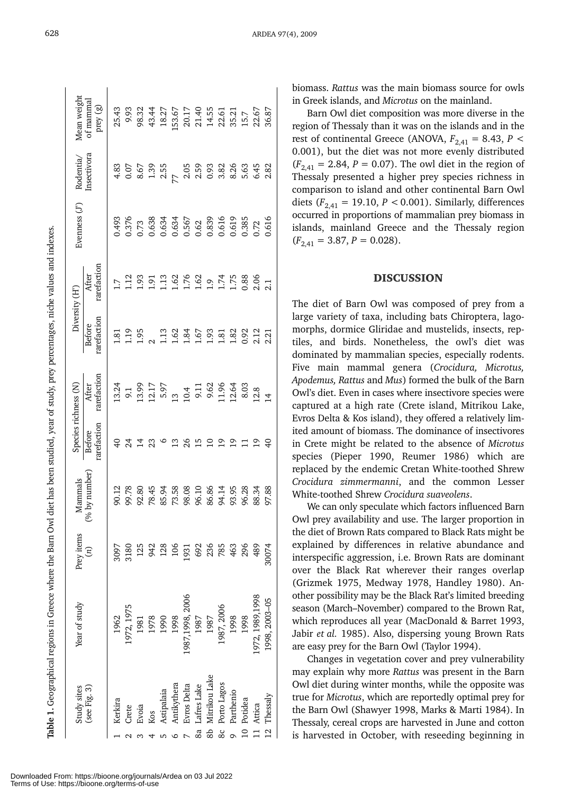| ֠                                                                                      |
|----------------------------------------------------------------------------------------|
|                                                                                        |
|                                                                                        |
|                                                                                        |
|                                                                                        |
|                                                                                        |
| ֖֖֖֖֖֧ׅ֧֖֖֧֖֧֖֧֖֧ׅ֧֪ׅ֖֧֪ׅ֖֧֪֪֧֪ׅ֧֪֧֚֚֚֚֚֚֚֚֚֚֚֚֚֚֚֚֚֚֚֚֚֚֚֚֚֚֚֚֚֚֚֚֚֚֬֝֝֬֝֓֞֝֬֝֬֝֬֝֝֬  |
|                                                                                        |
|                                                                                        |
|                                                                                        |
|                                                                                        |
|                                                                                        |
|                                                                                        |
|                                                                                        |
|                                                                                        |
|                                                                                        |
|                                                                                        |
|                                                                                        |
|                                                                                        |
|                                                                                        |
|                                                                                        |
|                                                                                        |
|                                                                                        |
|                                                                                        |
| ׇ֚֬                                                                                    |
|                                                                                        |
|                                                                                        |
|                                                                                        |
|                                                                                        |
|                                                                                        |
|                                                                                        |
|                                                                                        |
|                                                                                        |
|                                                                                        |
| ֖֖֖֖֧ׅׅׅ֖֧ׅ֧֖֧֖֖֧֖֧֪ׅ֪֧֪ׅ֧֪֪֪֧֪ׅ֧֪ׅ֧֪֧֚֚֚֚֚֚֚֚֚֚֚֚֚֚֚֚֚֚֚֚֚֚֚֚֚֚֚֚֚֚֚֚֬֝֝֬֓֝֬֓֝֬֝֬֝֬֝֬ |
|                                                                                        |
| ţ                                                                                      |
|                                                                                        |
| ֖֖֖֖֖֖֧ׅׅ֖֧֖֧ׅ֖֧֚֚֚֚֚֚֚֚֚֚֚֚֚֚֚֚֚֚֚֚֚֚֚֚֚֚֚֬֝֝֝֝                                       |
| ֕                                                                                      |
|                                                                                        |
|                                                                                        |
|                                                                                        |
|                                                                                        |
|                                                                                        |
|                                                                                        |
|                                                                                        |
|                                                                                        |
|                                                                                        |
|                                                                                        |
|                                                                                        |
|                                                                                        |
|                                                                                        |
|                                                                                        |
|                                                                                        |
|                                                                                        |
|                                                                                        |
| 1                                                                                      |
|                                                                                        |
| Ì                                                                                      |
|                                                                                        |

| Study sites         | Year of study    |                                                                                    | Mammals                                                               |                       | Species richness (N)                                                                                           | Diversity (H')              |                      | Evenness $(J^{\prime})$ |                                                                   | Mean weigh              |
|---------------------|------------------|------------------------------------------------------------------------------------|-----------------------------------------------------------------------|-----------------------|----------------------------------------------------------------------------------------------------------------|-----------------------------|----------------------|-------------------------|-------------------------------------------------------------------|-------------------------|
| (see Fig. 3)        |                  | Prey items<br>$(n)$                                                                | (% by number                                                          | rarefaction<br>Before | $\overline{\text{After}}\atop\text{rarefactor}$                                                                | arefaction<br><b>Before</b> | carefaction<br>After |                         | ${\rm Rodentia/}$ Insectivora                                     | of mammal<br>prey $(g)$ |
| Kerkira             | 1962             |                                                                                    |                                                                       |                       |                                                                                                                |                             |                      |                         |                                                                   |                         |
| Crete               | 1972, 1975       |                                                                                    |                                                                       | 74                    |                                                                                                                |                             | $1.7$ $1.93$ $1.91$  |                         |                                                                   |                         |
| Evoia               | 1981             |                                                                                    |                                                                       | $\vec{z}$             |                                                                                                                |                             |                      |                         |                                                                   |                         |
| Kos                 | 1978             |                                                                                    |                                                                       | 23                    |                                                                                                                |                             |                      |                         |                                                                   |                         |
| Astipalaia          | 1990             | $\frac{2097}{2120}$<br>$\frac{2097}{2120}$ $\frac{2097}{2120}$ $\frac{2097}{2120}$ |                                                                       | $\circ$               |                                                                                                                |                             |                      |                         |                                                                   |                         |
| Antikythera         | 1998             |                                                                                    |                                                                       |                       |                                                                                                                |                             |                      |                         |                                                                   |                         |
| Evros Delta         | 1987, 1998, 2006 |                                                                                    |                                                                       | 26                    |                                                                                                                |                             |                      |                         |                                                                   |                         |
| Lafres Lake<br>8a   | 1987             |                                                                                    |                                                                       | $\overline{15}$       |                                                                                                                |                             |                      |                         |                                                                   |                         |
| Mitrikou Lake<br>කි | 1987             |                                                                                    |                                                                       |                       |                                                                                                                |                             |                      |                         |                                                                   |                         |
| Porto Lagos<br>80   | 1987, 2006       |                                                                                    |                                                                       |                       |                                                                                                                |                             |                      |                         |                                                                   |                         |
| Parthenio           | 1998             |                                                                                    | 11 R S 4 4 5 6 6 7 6 7 6 7 6 7 8 9<br>1 6 7 6 7 7 8 9 6 7 8 7 8 9 8 7 |                       | 13 1 1 2 2 3 4 1 2 3 4 2 3 3 9 1 2 4 1 2 4 2 3 4 2 3 9 3 9 1 2 4 2 5 9 2 9 1 2 3 9 1 2 4 2 5 9 2 7 2 9 1 2 7 2 |                             |                      |                         | 8<br>8 5 6 6 7 8 9 8 8 8 8 9 8 9 8<br>8 6 9 8 9 8 9 8 9 8 9 8 9 8 |                         |
| Potidea             | 1998             |                                                                                    |                                                                       |                       |                                                                                                                |                             |                      |                         |                                                                   |                         |
| Attica              | 972, 1989, 1998  |                                                                                    |                                                                       |                       |                                                                                                                |                             |                      |                         |                                                                   |                         |
| 12 Thessaly         | 1998, 2003-05    |                                                                                    |                                                                       |                       | $\overline{4}$                                                                                                 |                             |                      |                         |                                                                   |                         |

biomass. *Rattus* was the main biomass source for owls in Greek islands, and *Microtus* on the mainland.

Barn Owl diet composition was more diverse in the region of Thessaly than it was on the islands and in the rest of continental Greece (ANOVA,  $F_{2,41} = 8.43$ ,  $P <$ 0.001), but the diet was not more evenly distributed  $(F_{2,41} = 2.84, P = 0.07)$ . The owl diet in the region of Thessaly presented a higher prey species richness in comparison to island and other continental Barn Owl diets  $(F_{2,41} = 19.10, P < 0.001)$ . Similarly, differences occurred in proportions of mammalian prey biomass in islands, mainland Greece and the Thessaly region  $(F_{2,41} = 3.87, P = 0.028).$ 

#### DISCUSSION

The diet of Barn Owl was composed of prey from a large variety of taxa, including bats Chiroptera, lagomorphs, dormice Gliridae and mustelids, insects, reptiles, and birds. Nonetheless, the owl's diet was dominated by mammalian species, especially rodents. Five main mammal genera (*Crocidura, Microtus, Apodemus, Rattus* and *Mus*) formed the bulk of the Barn Owl's diet. Even in cases where insectivore species were captured at a high rate (Crete island, Mitrikou Lake, Evros Delta & Kos island), they offered a relatively limited amount of biomass. The dominance of insectivores in Crete might be related to the absence of *Microtus* species (Pieper 1990, Reumer 1986) which are replaced by the endemic Cretan White-toothed Shrew *Crocidura zimmermanni*, and the common Lesser White-toothed Shrew *Crocidura suaveolens*.

We can only speculate which factors influenced Barn Owl prey availability and use. The larger proportion in the diet of Brown Rats compared to Black Rats might be explained by differences in relative abundance and interspecific aggression, i.e. Brown Rats are dominant over the Black Rat wherever their ranges overlap (Grizmek 1975, Medway 1978, Handley 1980). Another possibility may be the Black Rat's limited breeding season (March–November) compared to the Brown Rat, which reproduces all year (MacDonald & Barret 1993, Jabir *et al.* 1985). Also, dispersing young Brown Rats are easy prey for the Barn Owl (Taylor 1994).

Changes in vegetation cover and prey vulnerability may explain why more *Rattus* was present in the Barn Owl diet during winter months, while the opposite was true for *Microtus*, which are reportedly optimal prey for the Barn Owl (Shawyer 1998, Marks & Marti 1984). In Thessaly, cereal crops are harvested in June and cotton is harvested in October, with reseeding beginning in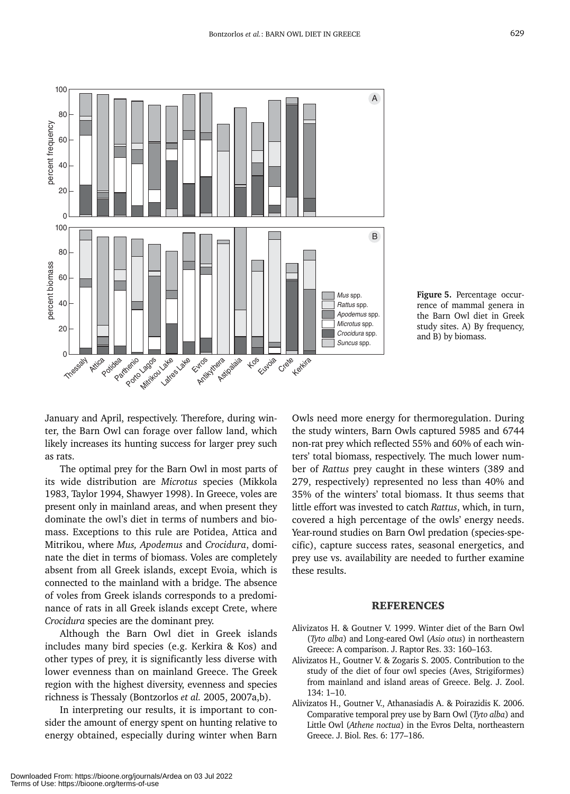

*Mus* spp. **Figure 5.** Percentage occurrence of mammal genera in the Barn Owl diet in Greek study sites. A) By frequency, and B) by biomass.

January and April, respectively. Therefore, during winter, the Barn Owl can forage over fallow land, which likely increases its hunting success for larger prey such as rats.

The optimal prey for the Barn Owl in most parts of its wide distribution are *Microtus* species (Mikkola 1983, Taylor 1994, Shawyer 1998). In Greece, voles are present only in mainland areas, and when present they dominate the owl's diet in terms of numbers and biomass. Exceptions to this rule are Potidea, Attica and Mitrikou, where *Mus, Apodemus* and *Crocidura*, dominate the diet in terms of biomass. Voles are completely absent from all Greek islands, except Evoia, which is connected to the mainland with a bridge. The absence of voles from Greek islands corresponds to a predominance of rats in all Greek islands except Crete, where *Crocidura* species are the dominant prey.

Although the Barn Owl diet in Greek islands includes many bird species (e.g. Kerkira & Kos) and other types of prey, it is significantly less diverse with lower evenness than on mainland Greece. The Greek region with the highest diversity, evenness and species richness is Thessaly (Bontzorlos *et al.* 2005, 2007a,b).

In interpreting our results, it is important to consider the amount of energy spent on hunting relative to energy obtained, especially during winter when Barn Owls need more energy for thermoregulation. During the study winters, Barn Owls captured 5985 and 6744 non-rat prey which reflected 55% and 60% of each winters' total biomass, respectively. The much lower number of *Rattus* prey caught in these winters (389 and 279, respectively) represented no less than 40% and 35% of the winters' total biomass. It thus seems that little effort was invested to catch *Rattus*, which, in turn, covered a high percentage of the owls' energy needs. Year-round studies on Barn Owl predation (species-specific), capture success rates, seasonal energetics, and prey use vs. availability are needed to further examine these results.

#### REFERENCES

- Alivizatos H. & Goutner V. 1999. Winter diet of the Barn Owl (*Tyto alba*) and Long-eared Owl (*Asio otus*) in northeastern Greece: A comparison. J. Raptor Res. 33: 160–163.
- Alivizatos H., Goutner V. & Zogaris S. 2005. Contribution to the study of the diet of four owl species (Aves, Strigiformes) from mainland and island areas of Greece. Belg. J. Zool. 134: 1–10.
- Alivizatos H., Goutner V., Athanasiadis A. & Poirazidis K. 2006. Comparative temporal prey use by Barn Owl (*Tyto alba*) and Little Owl (*Athene noctua*) in the Evros Delta, northeastern Greece. J. Biol. Res. 6: 177–186.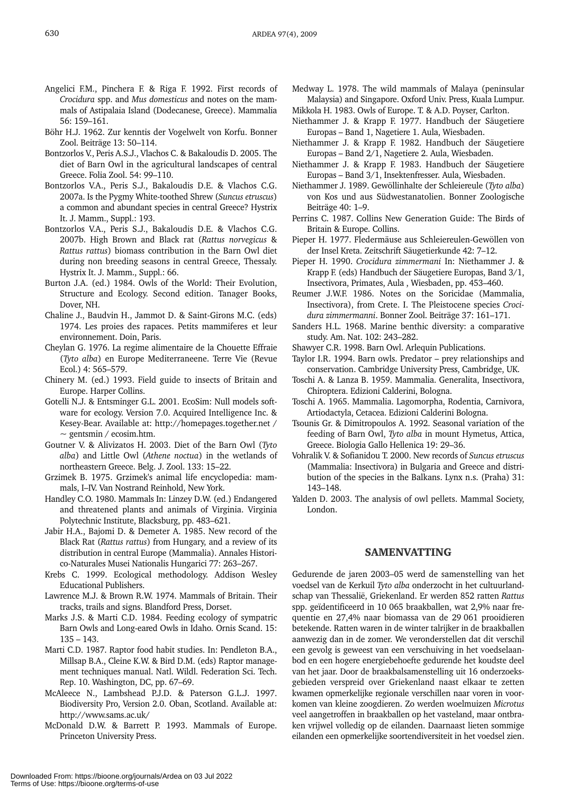- Angelici F.M., Pinchera F. & Riga F. 1992. First records of *Crocidura* spp. and *Mus domesticus* and notes on the mammals of Astipalaia Island (Dodecanese, Greece). Mammalia 56: 159–161.
- Böhr H.J. 1962. Zur kenntis der Vogelwelt von Korfu. Bonner Zool. Beiträge 13: 50–114.
- Bontzorlos V., Peris A.S.J., Vlachos C. & Bakaloudis D. 2005. The diet of Barn Owl in the agricultural landscapes of central Greece. Folia Zool. 54: 99–110.
- Bontzorlos V.A., Peris S.J., Bakaloudis D.E. & Vlachos C.G. 2007a. Is the Pygmy White-toothed Shrew (*Suncus etruscus*) a common and abundant species in central Greece? Hystrix It. J. Mamm., Suppl.: 193.
- Bontzorlos V.A., Peris S.J., Bakaloudis D.E. & Vlachos C.G. 2007b. High Brown and Black rat (*Rattus norvegicus* & *Rattus rattus*) biomass contribution in the Barn Owl diet during non breeding seasons in central Greece, Thessaly. Hystrix It. J. Mamm., Suppl.: 66.
- Burton J.A. (ed.) 1984. Owls of the World: Their Evolution, Structure and Ecology. Second edition. Tanager Books, Dover, NH.
- Chaline J., Baudvin H., Jammot D. & Saint-Girons M.C. (eds) 1974. Les proies des rapaces. Petits mammiferes et leur environnement. Doin, Paris.
- Cheylan G. 1976. La regime alimentaire de la Chouette Effraie (*Tyto alba*) en Europe Mediterraneene. Terre Vie (Revue Ecol.) 4: 565–579.
- Chinery M. (ed.) 1993. Field guide to insects of Britain and Europe. Harper Collins.
- Gotelli N.J. & Entsminger G.L. 2001. EcoSim: Null models software for ecology. Version 7.0. Acquired Intelligence Inc. & Kesey-Bear. Available at: http://homepages.together.net /  $\sim$  gentsmin / ecosim.htm.
- Goutner V. & Alivizatos H. 2003. Diet of the Barn Owl (*Tyto alba*) and Little Owl (*Athene noctua*) in the wetlands of northeastern Greece. Belg. J. Zool. 133: 15–22.
- Grzimek B. 1975. Grzimek's animal life encyclopedia: mammals, I–IV. Van Nostrand Reinhold, New York.
- Handley C.O. 1980. Mammals In: Linzey D.W. (ed.) Endangered and threatened plants and animals of Virginia. Virginia Polytechnic Institute, Blacksburg, pp. 483–621.
- Jabir H.A., Bajomi D. & Demeter A. 1985. New record of the Black Rat (*Rattus rattus*) from Hungary, and a review of its distribution in central Europe (Mammalia). Annales Historico-Naturales Musei Nationalis Hungarici 77: 263–267.
- Krebs C. 1999. Ecological methodology. Addison Wesley Educational Publishers.
- Lawrence M.J. & Brown R.W. 1974. Mammals of Britain. Their tracks, trails and signs. Blandford Press, Dorset.
- Marks J.S. & Marti C.D. 1984. Feeding ecology of sympatric Barn Owls and Long-eared Owls in Idaho. Ornis Scand. 15: 135 – 143.
- Marti C.D. 1987. Raptor food habit studies. In: Pendleton B.A., Millsap B.A., Cleine K.W. & Bird D.M. (eds) Raptor management techniques manual. Natl. Wildl. Federation Sci. Tech. Rep. 10. Washington, DC, pp. 67–69.
- McAleece N., Lambshead P.J.D. & Paterson G.L.J. 1997. Biodiversity Pro, Version 2.0. Oban, Scotland. Available at: http://www.sams.ac.uk/
- McDonald D.W. & Barrett P. 1993. Mammals of Europe. Princeton University Press.
- Medway L. 1978. The wild mammals of Malaya (peninsular Malaysia) and Singapore. Oxford Univ. Press, Kuala Lumpur.
- Mikkola H. 1983. Owls of Europe. T. & A.D. Poyser, Carlton. Niethammer J. & Krapp F. 1977. Handbuch der Säugetiere Europas – Band 1, Nagetiere 1. Aula, Wiesbaden.
- Niethammer J. & Krapp F. 1982. Handbuch der Säugetiere Europas – Band 2/1, Nagetiere 2. Aula, Wiesbaden.
- Niethammer J. & Krapp F. 1983. Handbuch der Säugetiere Europas – Band 3/1, Insektenfresser. Aula, Wiesbaden.
- Niethammer J. 1989. Gewöllinhalte der Schleiereule (*Tyto alba*) von Kos und aus Südwestanatolien. Bonner Zoologische Beiträge 40: 1–9.
- Perrins C. 1987. Collins New Generation Guide: The Birds of Britain & Europe. Collins.
- Pieper H. 1977. Fledermäuse aus Schleiereulen-Gewöllen von der Insel Kreta. Zeitschrift Säugetierkunde 42: 7–12.
- Pieper H. 1990. *Crocidura zimmermani* In: Niethammer J. & Krapp F. (eds) Handbuch der Säugetiere Europas, Band 3/1, Insectivora, Primates, Aula , Wiesbaden, pp. 453–460.
- Reumer J.W.F. 1986. Notes on the Soricidae (Mammalia, Insectivora), from Crete. I. The Pleistocene species *Crocidura zimmermanni*. Bonner Zool. Beiträge 37: 161–171.
- Sanders H.L. 1968. Marine benthic diversity: a comparative study. Am. Nat. 102: 243–282.
- Shawyer C.R. 1998. Barn Owl. Arlequin Publications.
- Taylor I.R. 1994. Barn owls. Predator prey relationships and conservation. Cambridge University Press, Cambridge, UK.
- Toschi A. & Lanza B. 1959. Mammalia. Generalita, Insectivora, Chiroptera. Edizioni Calderini, Bologna.
- Toschi A. 1965. Mammalia. Lagomorpha, Rodentia, Carnivora, Artiodactyla, Cetacea. Edizioni Calderini Bologna.
- Tsounis Gr. & Dimitropoulos A. 1992. Seasonal variation of the feeding of Barn Owl, *Tyto alba* in mount Hymetus, Attica, Greece. Biologia Gallo Hellenica 19: 29–36.
- Vohralik V. & Sofianidou T. 2000. New records of *Suncus etruscus* (Mammalia: Insectivora) in Bulgaria and Greece and distribution of the species in the Balkans. Lynx n.s. (Praha) 31: 143–148.
- Yalden D. 2003. The analysis of owl pellets. Mammal Society, London.

### SAMENVATTING

Gedurende de jaren 2003–05 werd de samenstelling van het voedsel van de Kerkuil *Tyto alba* onderzocht in het cultuurlandschap van Thessalië, Griekenland. Er werden 852 ratten *Rattus* spp. geïdentificeerd in 10 065 braakballen, wat 2,9% naar frequentie en 27,4% naar biomassa van de 29 061 prooidieren betekende. Ratten waren in de winter talrijker in de braakballen aanwezig dan in de zomer. We veronderstellen dat dit verschil een gevolg is geweest van een verschuiving in het voedselaanbod en een hogere energiebehoefte gedurende het koudste deel van het jaar. Door de braakbalsamenstelling uit 16 onderzoeksgebieden verspreid over Griekenland naast elkaar te zetten kwamen opmerkelijke regionale verschillen naar voren in voorkomen van kleine zoogdieren. Zo werden woelmuizen *Microtus* veel aangetroffen in braakballen op het vasteland, maar ontbraken vrijwel volledig op de eilanden. Daarnaast lieten sommige eilanden een opmerkelijke soortendiversiteit in het voedsel zien.